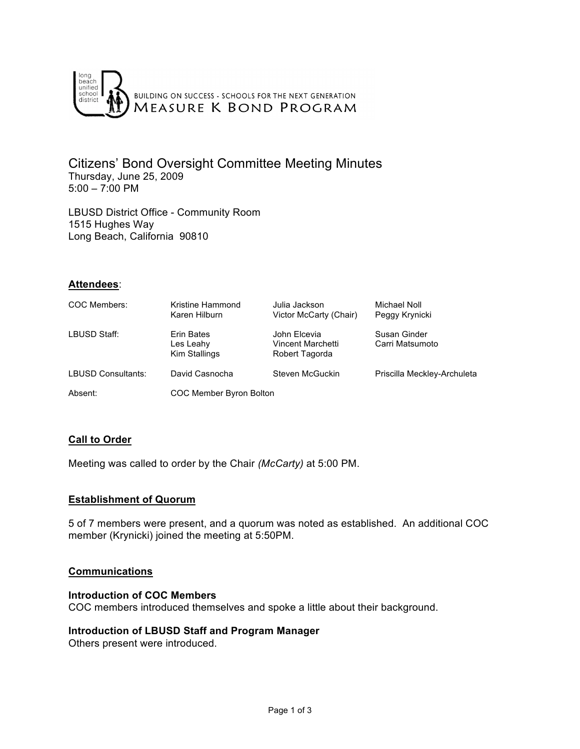

Citizens' Bond Oversight Committee Meeting Minutes Thursday, June 25, 2009 5:00 – 7:00 PM

LBUSD District Office - Community Room 1515 Hughes Way Long Beach, California 90810

#### **Attendees**:

| COC Members:              | Kristine Hammond<br>Karen Hilburn        | Julia Jackson<br>Victor McCarty (Chair)             | Michael Noll<br>Peggy Krynicki  |
|---------------------------|------------------------------------------|-----------------------------------------------------|---------------------------------|
| LBUSD Staff:              | Erin Bates<br>Les Leahy<br>Kim Stallings | John Elcevia<br>Vincent Marchetti<br>Robert Tagorda | Susan Ginder<br>Carri Matsumoto |
| <b>LBUSD Consultants:</b> | David Casnocha                           | Steven McGuckin                                     | Priscilla Meckley-Archuleta     |
| Absent:                   | COC Member Byron Bolton                  |                                                     |                                 |

# **Call to Order**

Meeting was called to order by the Chair *(McCarty)* at 5:00 PM.

#### **Establishment of Quorum**

5 of 7 members were present, and a quorum was noted as established. An additional COC member (Krynicki) joined the meeting at 5:50PM.

#### **Communications**

#### **Introduction of COC Members**

COC members introduced themselves and spoke a little about their background.

#### **Introduction of LBUSD Staff and Program Manager**

Others present were introduced.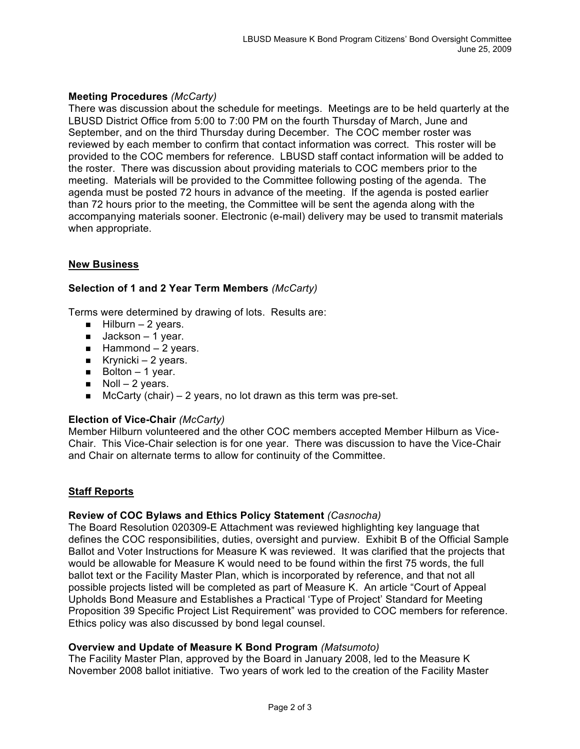# **Meeting Procedures** *(McCarty)*

There was discussion about the schedule for meetings. Meetings are to be held quarterly at the LBUSD District Office from 5:00 to 7:00 PM on the fourth Thursday of March, June and September, and on the third Thursday during December. The COC member roster was reviewed by each member to confirm that contact information was correct. This roster will be provided to the COC members for reference. LBUSD staff contact information will be added to the roster. There was discussion about providing materials to COC members prior to the meeting. Materials will be provided to the Committee following posting of the agenda. The agenda must be posted 72 hours in advance of the meeting. If the agenda is posted earlier than 72 hours prior to the meeting, the Committee will be sent the agenda along with the accompanying materials sooner. Electronic (e-mail) delivery may be used to transmit materials when appropriate.

# **New Business**

# **Selection of 1 and 2 Year Term Members** *(McCarty)*

Terms were determined by drawing of lots. Results are:

- $Hilburn 2 years.$
- $\Box$  Jackson 1 year.
- $Hammond 2 years.$
- Krynicki 2 years.
- $\blacksquare$  Bolton 1 year.
- $\blacksquare$  Noll 2 years.
- $\blacksquare$  McCarty (chair) 2 years, no lot drawn as this term was pre-set.

# **Election of Vice-Chair** *(McCarty)*

Member Hilburn volunteered and the other COC members accepted Member Hilburn as Vice-Chair. This Vice-Chair selection is for one year. There was discussion to have the Vice-Chair and Chair on alternate terms to allow for continuity of the Committee.

# **Staff Reports**

# **Review of COC Bylaws and Ethics Policy Statement** *(Casnocha)*

The Board Resolution 020309-E Attachment was reviewed highlighting key language that defines the COC responsibilities, duties, oversight and purview. Exhibit B of the Official Sample Ballot and Voter Instructions for Measure K was reviewed. It was clarified that the projects that would be allowable for Measure K would need to be found within the first 75 words, the full ballot text or the Facility Master Plan, which is incorporated by reference, and that not all possible projects listed will be completed as part of Measure K. An article "Court of Appeal Upholds Bond Measure and Establishes a Practical 'Type of Project' Standard for Meeting Proposition 39 Specific Project List Requirement" was provided to COC members for reference. Ethics policy was also discussed by bond legal counsel.

# **Overview and Update of Measure K Bond Program** *(Matsumoto)*

The Facility Master Plan, approved by the Board in January 2008, led to the Measure K November 2008 ballot initiative. Two years of work led to the creation of the Facility Master